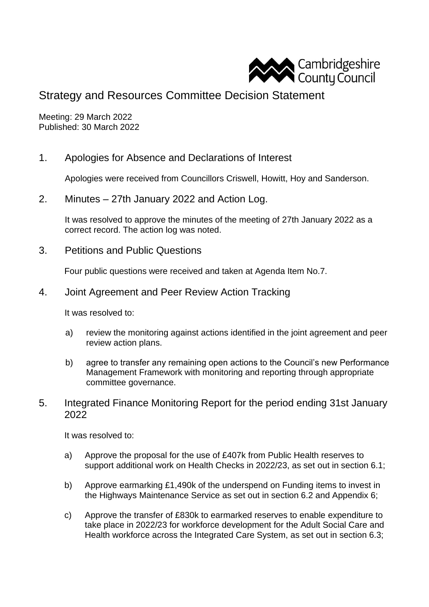

# Strategy and Resources Committee Decision Statement

Meeting: 29 March 2022 Published: 30 March 2022

1. Apologies for Absence and Declarations of Interest

Apologies were received from Councillors Criswell, Howitt, Hoy and Sanderson.

2. Minutes – 27th January 2022 and Action Log.

It was resolved to approve the minutes of the meeting of 27th January 2022 as a correct record. The action log was noted.

3. Petitions and Public Questions

Four public questions were received and taken at Agenda Item No.7.

4. Joint Agreement and Peer Review Action Tracking

It was resolved to:

- a) review the monitoring against actions identified in the joint agreement and peer review action plans.
- b) agree to transfer any remaining open actions to the Council's new Performance Management Framework with monitoring and reporting through appropriate committee governance.
- 5. Integrated Finance Monitoring Report for the period ending 31st January 2022

It was resolved to:

- a) Approve the proposal for the use of £407k from Public Health reserves to support additional work on Health Checks in 2022/23, as set out in section 6.1;
- b) Approve earmarking £1,490k of the underspend on Funding items to invest in the Highways Maintenance Service as set out in section 6.2 and Appendix 6;
- c) Approve the transfer of £830k to earmarked reserves to enable expenditure to take place in 2022/23 for workforce development for the Adult Social Care and Health workforce across the Integrated Care System, as set out in section 6.3;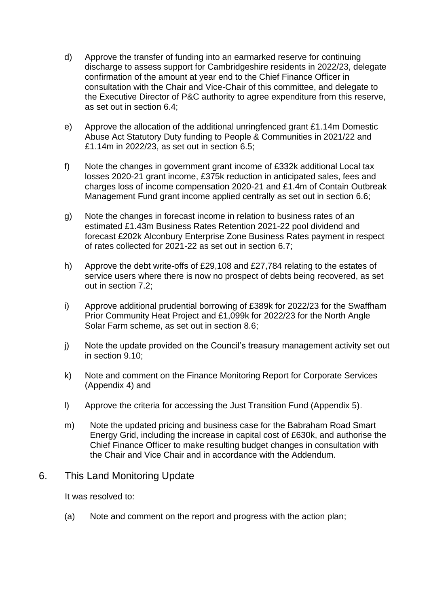- d) Approve the transfer of funding into an earmarked reserve for continuing discharge to assess support for Cambridgeshire residents in 2022/23, delegate confirmation of the amount at year end to the Chief Finance Officer in consultation with the Chair and Vice-Chair of this committee, and delegate to the Executive Director of P&C authority to agree expenditure from this reserve, as set out in section 6.4;
- e) Approve the allocation of the additional unringfenced grant £1.14m Domestic Abuse Act Statutory Duty funding to People & Communities in 2021/22 and £1.14m in 2022/23, as set out in section 6.5;
- f) Note the changes in government grant income of £332k additional Local tax losses 2020-21 grant income, £375k reduction in anticipated sales, fees and charges loss of income compensation 2020-21 and £1.4m of Contain Outbreak Management Fund grant income applied centrally as set out in section 6.6;
- g) Note the changes in forecast income in relation to business rates of an estimated £1.43m Business Rates Retention 2021-22 pool dividend and forecast £202k Alconbury Enterprise Zone Business Rates payment in respect of rates collected for 2021-22 as set out in section 6.7;
- h) Approve the debt write-offs of £29,108 and £27,784 relating to the estates of service users where there is now no prospect of debts being recovered, as set out in section 7.2;
- i) Approve additional prudential borrowing of £389k for 2022/23 for the Swaffham Prior Community Heat Project and £1,099k for 2022/23 for the North Angle Solar Farm scheme, as set out in section 8.6;
- j) Note the update provided on the Council's treasury management activity set out in section 9.10;
- k) Note and comment on the Finance Monitoring Report for Corporate Services (Appendix 4) and
- l) Approve the criteria for accessing the Just Transition Fund (Appendix 5).
- m) Note the updated pricing and business case for the Babraham Road Smart Energy Grid, including the increase in capital cost of £630k, and authorise the Chief Finance Officer to make resulting budget changes in consultation with the Chair and Vice Chair and in accordance with the Addendum.

## 6. This Land Monitoring Update

It was resolved to:

(a) Note and comment on the report and progress with the action plan;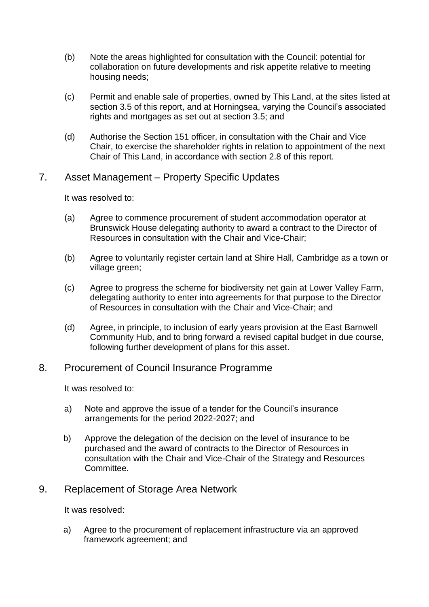- (b) Note the areas highlighted for consultation with the Council: potential for collaboration on future developments and risk appetite relative to meeting housing needs;
- (c) Permit and enable sale of properties, owned by This Land, at the sites listed at section 3.5 of this report, and at Horningsea, varying the Council's associated rights and mortgages as set out at section 3.5; and
- (d) Authorise the Section 151 officer, in consultation with the Chair and Vice Chair, to exercise the shareholder rights in relation to appointment of the next Chair of This Land, in accordance with section 2.8 of this report.

### 7. Asset Management – Property Specific Updates

It was resolved to:

- (a) Agree to commence procurement of student accommodation operator at Brunswick House delegating authority to award a contract to the Director of Resources in consultation with the Chair and Vice-Chair;
- (b) Agree to voluntarily register certain land at Shire Hall, Cambridge as a town or village green;
- (c) Agree to progress the scheme for biodiversity net gain at Lower Valley Farm, delegating authority to enter into agreements for that purpose to the Director of Resources in consultation with the Chair and Vice-Chair; and
- (d) Agree, in principle, to inclusion of early years provision at the East Barnwell Community Hub, and to bring forward a revised capital budget in due course, following further development of plans for this asset.

### 8. Procurement of Council Insurance Programme

It was resolved to:

- a) Note and approve the issue of a tender for the Council's insurance arrangements for the period 2022-2027; and
- b) Approve the delegation of the decision on the level of insurance to be purchased and the award of contracts to the Director of Resources in consultation with the Chair and Vice-Chair of the Strategy and Resources Committee.

### 9. Replacement of Storage Area Network

It was resolved:

a) Agree to the procurement of replacement infrastructure via an approved framework agreement; and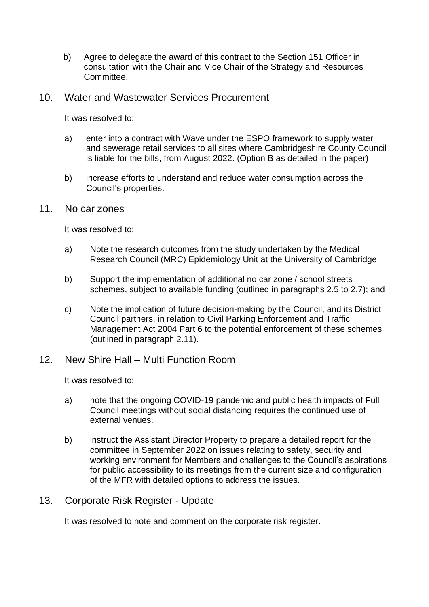b) Agree to delegate the award of this contract to the Section 151 Officer in consultation with the Chair and Vice Chair of the Strategy and Resources Committee.

#### 10. Water and Wastewater Services Procurement

It was resolved to:

- a) enter into a contract with Wave under the ESPO framework to supply water and sewerage retail services to all sites where Cambridgeshire County Council is liable for the bills, from August 2022. (Option B as detailed in the paper)
- b) increase efforts to understand and reduce water consumption across the Council's properties.

#### 11. No car zones

It was resolved to:

- a) Note the research outcomes from the study undertaken by the Medical Research Council (MRC) Epidemiology Unit at the University of Cambridge;
- b) Support the implementation of additional no car zone / school streets schemes, subject to available funding (outlined in paragraphs 2.5 to 2.7); and
- c) Note the implication of future decision-making by the Council, and its District Council partners, in relation to Civil Parking Enforcement and Traffic Management Act 2004 Part 6 to the potential enforcement of these schemes (outlined in paragraph 2.11).

### 12. New Shire Hall – Multi Function Room

It was resolved to:

- a) note that the ongoing COVID-19 pandemic and public health impacts of Full Council meetings without social distancing requires the continued use of external venues.
- b) instruct the Assistant Director Property to prepare a detailed report for the committee in September 2022 on issues relating to safety, security and working environment for Members and challenges to the Council's aspirations for public accessibility to its meetings from the current size and configuration of the MFR with detailed options to address the issues.

### 13. Corporate Risk Register - Update

It was resolved to note and comment on the corporate risk register.